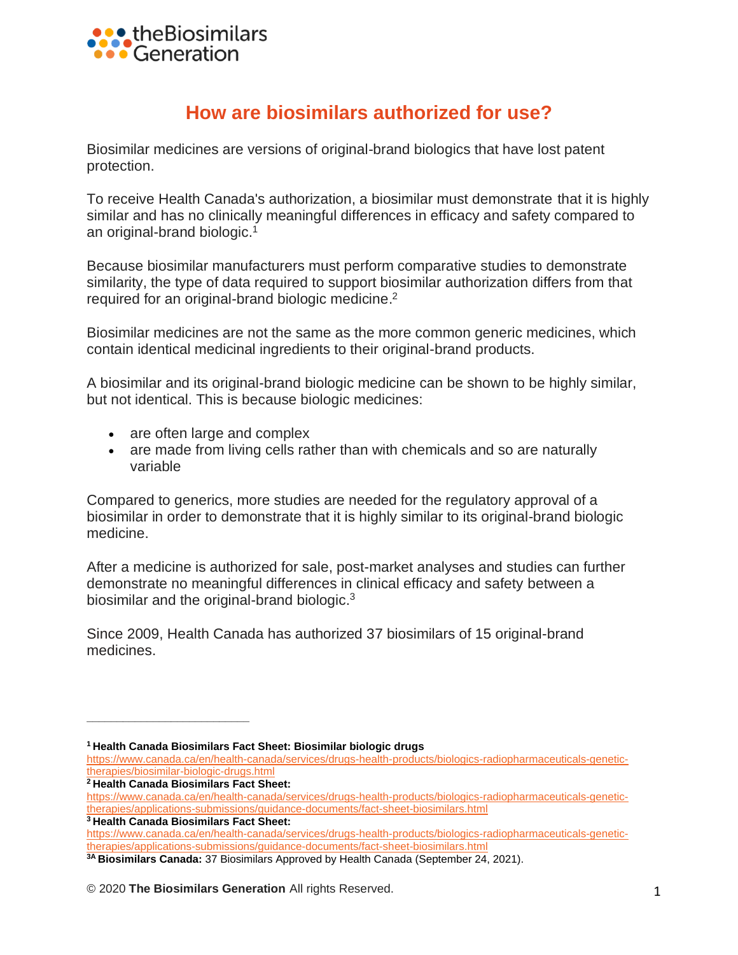

## **How are biosimilars authorized for use?**

Biosimilar medicines are versions of original-brand biologics that have lost patent protection.

To receive Health Canada's authorization, a biosimilar must demonstrate that it is highly similar and has no clinically meaningful differences in efficacy and safety compared to an original-brand biologic. 1

Because biosimilar manufacturers must perform comparative studies to demonstrate similarity, the type of data required to support biosimilar authorization differs from that required for an original-brand biologic medicine.<sup>2</sup>

Biosimilar medicines are not the same as the more common generic medicines, which contain identical medicinal ingredients to their original-brand products.

A biosimilar and its original-brand biologic medicine can be shown to be highly similar, but not identical. This is because biologic medicines:

- are often large and complex
- are made from living cells rather than with chemicals and so are naturally variable

Compared to generics, more studies are needed for the regulatory approval of a biosimilar in order to demonstrate that it is highly similar to its original-brand biologic medicine.

After a medicine is authorized for sale, post-market analyses and studies can further demonstrate no meaningful differences in clinical efficacy and safety between a biosimilar and the original-brand biologic.<sup>3</sup>

Since 2009, Health Canada has authorized 37 biosimilars of 15 original-brand medicines.

**<sup>2</sup> Health Canada Biosimilars Fact Sheet:**

**\_\_\_\_\_\_\_\_\_\_\_\_\_\_\_\_\_\_\_\_\_\_\_\_\_\_\_**

**<sup>1</sup> Health Canada Biosimilars Fact Sheet: Biosimilar biologic drugs**

[https://www.canada.ca/en/health-canada/services/drugs-health-products/biologics-radiopharmaceuticals-genetic](https://www.canada.ca/en/health-canada/services/drugs-health-products/biologics-radiopharmaceuticals-genetic-therapies/biosimilar-biologic-drugs.html)[therapies/biosimilar-biologic-drugs.html](https://www.canada.ca/en/health-canada/services/drugs-health-products/biologics-radiopharmaceuticals-genetic-therapies/biosimilar-biologic-drugs.html)

[https://www.canada.ca/en/health-canada/services/drugs-health-products/biologics-radiopharmaceuticals-genetic](https://www.canada.ca/en/health-canada/services/drugs-health-products/biologics-radiopharmaceuticals-genetic-therapies/applications-submissions/guidance-documents/fact-sheet-biosimilars.html)[therapies/applications-submissions/guidance-documents/fact-sheet-biosimilars.html](https://www.canada.ca/en/health-canada/services/drugs-health-products/biologics-radiopharmaceuticals-genetic-therapies/applications-submissions/guidance-documents/fact-sheet-biosimilars.html) **<sup>3</sup> Health Canada Biosimilars Fact Sheet:**

[https://www.canada.ca/en/health-canada/services/drugs-health-products/biologics-radiopharmaceuticals-genetic](https://www.canada.ca/en/health-canada/services/drugs-health-products/biologics-radiopharmaceuticals-genetic-therapies/applications-submissions/guidance-documents/fact-sheet-biosimilars.html)[therapies/applications-submissions/guidance-documents/fact-sheet-biosimilars.html](https://www.canada.ca/en/health-canada/services/drugs-health-products/biologics-radiopharmaceuticals-genetic-therapies/applications-submissions/guidance-documents/fact-sheet-biosimilars.html)

**<sup>3</sup>A Biosimilars Canada:** 37 Biosimilars Approved by Health Canada (September 24, 2021).

<sup>© 2020</sup> **The Biosimilars Generation** All rights Reserved. 1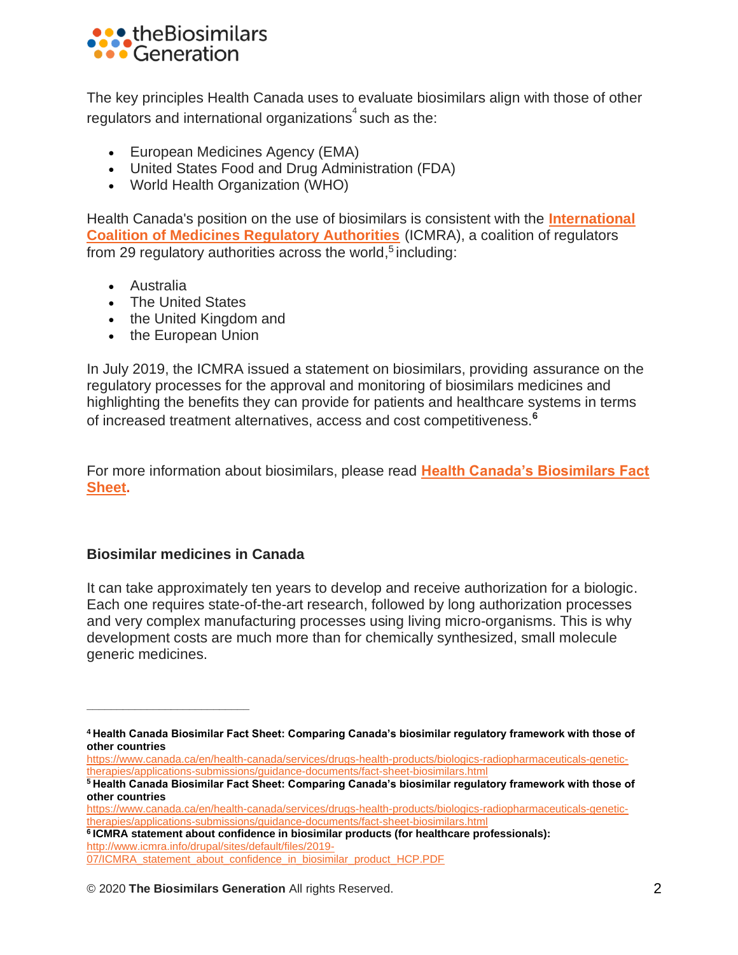

The key principles Health Canada uses to evaluate biosimilars align with those of other regulators and international organizations $\degree$ such as the:

- European Medicines Agency (EMA)
- United States Food and Drug Administration (FDA)
- World Health Organization (WHO)

Health Canada's position on the use of biosimilars is consistent with the **[International](4%20Health%20Canada%20Biosimilar%20Fact%20Sheet:%20Comparing%20Canada’s%20biosimilar%20regulatory%20framework%20with%20those%20of%20other%20countries%20https:/www.canada.ca/en/health-canada/services/drugs-health-products/biologics-radiopharmaceuticals-genetic-ther%20apies/applications-submissions/guidance-documents/fact-sheet-biosimilars.html%205%20Health%20Canada%20Biosimilar%20Fact%20Sheet:%20Comparing%20Canada’s%20biosimilar%20regulatory%20framework%20with%20those%20of%20other%20countries%20https:/www.canada.ca/en/health-canada/services/drugs-health-products/biologics-radiopharmaceuticals-genetic-ther%20apies/applications-submissions/guidance-documents/fact-sheet-biosimilars.html%206%20ICMRA%20statement%20about%20confidence%20in%20biosimilar%20products%20(for%20healthcare%20professionals):%20http:/www.icmra.info/drupal/sites/default/files/2019-07/ICMRA_statement_about_confidence_in_biosimilar_product_%20HCP.PDF)  [Coalition of Medicines Regulatory Authorities](4%20Health%20Canada%20Biosimilar%20Fact%20Sheet:%20Comparing%20Canada’s%20biosimilar%20regulatory%20framework%20with%20those%20of%20other%20countries%20https:/www.canada.ca/en/health-canada/services/drugs-health-products/biologics-radiopharmaceuticals-genetic-ther%20apies/applications-submissions/guidance-documents/fact-sheet-biosimilars.html%205%20Health%20Canada%20Biosimilar%20Fact%20Sheet:%20Comparing%20Canada’s%20biosimilar%20regulatory%20framework%20with%20those%20of%20other%20countries%20https:/www.canada.ca/en/health-canada/services/drugs-health-products/biologics-radiopharmaceuticals-genetic-ther%20apies/applications-submissions/guidance-documents/fact-sheet-biosimilars.html%206%20ICMRA%20statement%20about%20confidence%20in%20biosimilar%20products%20(for%20healthcare%20professionals):%20http:/www.icmra.info/drupal/sites/default/files/2019-07/ICMRA_statement_about_confidence_in_biosimilar_product_%20HCP.PDF)** (ICMRA), a coalition of regulators from 29 regulatory authorities across the world,<sup>5</sup> including:

- Australia
- The United States
- the United Kingdom and
- the European Union

In July 2019, the ICMRA issued a statement on biosimilars, providing assurance on the regulatory processes for the approval and monitoring of biosimilars medicines and highlighting the benefits they can provide for patients and healthcare systems in terms of increased treatment alternatives, access and cost competitiveness.**<sup>6</sup>**

For more information about biosimilars, please read **[Health Canada's Biosimilars Fact](https://www.canada.ca/en/health-canada/services/drugs-health-products/biologics-radiopharmaceuticals-genetic-therapies/applications-submissions/guidance-documents/fact-sheet-biosimilars.html)  [Sheet.](https://www.canada.ca/en/health-canada/services/drugs-health-products/biologics-radiopharmaceuticals-genetic-therapies/applications-submissions/guidance-documents/fact-sheet-biosimilars.html)** 

## **Biosimilar medicines in Canada**

**\_\_\_\_\_\_\_\_\_\_\_\_\_\_\_\_\_\_\_\_\_\_\_\_\_\_\_**

It can take approximately ten years to develop and receive authorization for a biologic. Each one requires state-of-the-art research, followed by long authorization processes and very complex manufacturing processes using living micro-organisms. This is why development costs are much more than for chemically synthesized, small molecule generic medicines.

**<sup>4</sup> Health Canada Biosimilar Fact Sheet: Comparing Canada's biosimilar regulatory framework with those of other countries**

[https://www.canada.ca/en/health-canada/services/drugs-health-products/biologics-radiopharmaceuticals-genetic](https://www.canada.ca/en/health-canada/services/drugs-health-products/biologics-radiopharmaceuticals-genetic-therapies/applications-submissions/guidance-documents/fact-sheet-biosimilars.html)[therapies/applications-submissions/guidance-documents/fact-sheet-biosimilars.html](https://www.canada.ca/en/health-canada/services/drugs-health-products/biologics-radiopharmaceuticals-genetic-therapies/applications-submissions/guidance-documents/fact-sheet-biosimilars.html)

**<sup>5</sup> Health Canada Biosimilar Fact Sheet: Comparing Canada's biosimilar regulatory framework with those of other countries**

[https://www.canada.ca/en/health-canada/services/drugs-health-products/biologics-radiopharmaceuticals-genetic](https://www.canada.ca/en/health-canada/services/drugs-health-products/biologics-radiopharmaceuticals-genetic-therapies/applications-submissions/guidance-documents/fact-sheet-biosimilars.html)[therapies/applications-submissions/guidance-documents/fact-sheet-biosimilars.html](https://www.canada.ca/en/health-canada/services/drugs-health-products/biologics-radiopharmaceuticals-genetic-therapies/applications-submissions/guidance-documents/fact-sheet-biosimilars.html)

**<sup>6</sup> ICMRA statement about confidence in biosimilar products (for healthcare professionals):** [http://www.icmra.info/drupal/sites/default/files/2019-](http://www.icmra.info/drupal/sites/default/files/2019-07/ICMRA_statement_about_confidence_in_biosimilar_product_HCP.PDF) [07/ICMRA\\_statement\\_about\\_confidence\\_in\\_biosimilar\\_product\\_HCP.PDF](http://www.icmra.info/drupal/sites/default/files/2019-07/ICMRA_statement_about_confidence_in_biosimilar_product_HCP.PDF)

<sup>© 2020</sup> **The Biosimilars Generation** All rights Reserved. 2